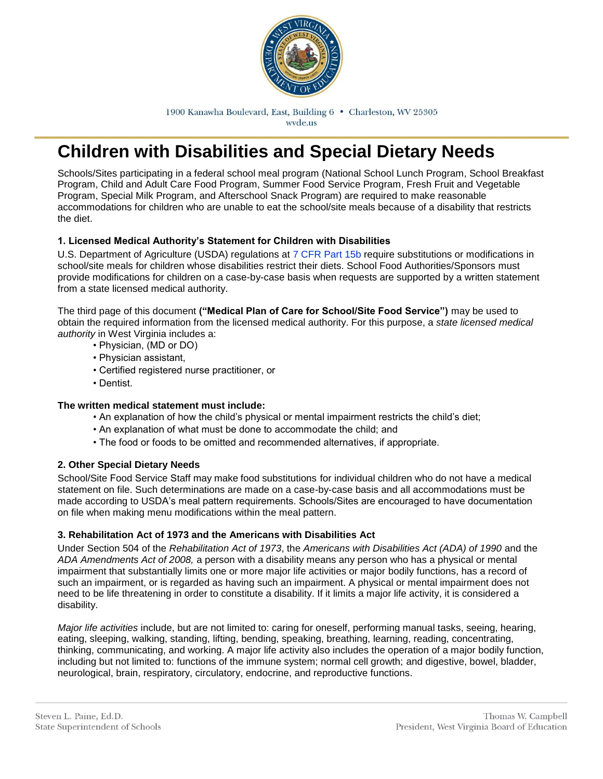

1900 Kanawha Boulevard, East, Building 6 . Charleston, WV 25305 wyde.us

# **Children with Disabilities and Special Dietary Needs**

Schools/Sites participating in a federal school meal program (National School Lunch Program, School Breakfast Program, Child and Adult Care Food Program, Summer Food Service Program, Fresh Fruit and Vegetable Program, Special Milk Program, and Afterschool Snack Program) are required to make reasonable accommodations for children who are unable to eat the school/site meals because of a disability that restricts the diet.

### **1. Licensed Medical Authority's Statement for Children with Disabilities**

U.S. Department of Agriculture (USDA) regulations at 7 CFR Part 15b require substitutions or modifications in school/site meals for children whose disabilities restrict their diets. School Food Authorities/Sponsors must provide modifications for children on a case-by-case basis when requests are supported by a written statement from a state licensed medical authority.

The third page of this document **("Medical Plan of Care for School/Site Food Service")** may be used to obtain the required information from the licensed medical authority. For this purpose, a *state licensed medical authority* in West Virginia includes a:

- Physician, (MD or DO)
- Physician assistant,
- Certified registered nurse practitioner, or
- Dentist.

#### **The written medical statement must include:**

- An explanation of how the child's physical or mental impairment restricts the child's diet;
- An explanation of what must be done to accommodate the child; and
- The food or foods to be omitted and recommended alternatives, if appropriate.

#### **2. Other Special Dietary Needs**

School/Site Food Service Staff may make food substitutions for individual children who do not have a medical statement on file. Such determinations are made on a case-by-case basis and all accommodations must be made according to USDA's meal pattern requirements. Schools/Sites are encouraged to have documentation on file when making menu modifications within the meal pattern.

#### **3. Rehabilitation Act of 1973 and the Americans with Disabilities Act**

Under Section 504 of the *Rehabilitation Act of 1973*, the *Americans with Disabilities Act (ADA) of 1990* and the *ADA Amendments Act of 2008,* a person with a disability means any person who has a physical or mental impairment that substantially limits one or more major life activities or major bodily functions, has a record of such an impairment, or is regarded as having such an impairment. A physical or mental impairment does not need to be life threatening in order to constitute a disability. If it limits a major life activity, it is considered a disability.

*Major life activities* include, but are not limited to: caring for oneself, performing manual tasks, seeing, hearing, eating, sleeping, walking, standing, lifting, bending, speaking, breathing, learning, reading, concentrating, thinking, communicating, and working. A major life activity also includes the operation of a major bodily function, including but not limited to: functions of the immune system; normal cell growth; and digestive, bowel, bladder, neurological, brain, respiratory, circulatory, endocrine, and reproductive functions.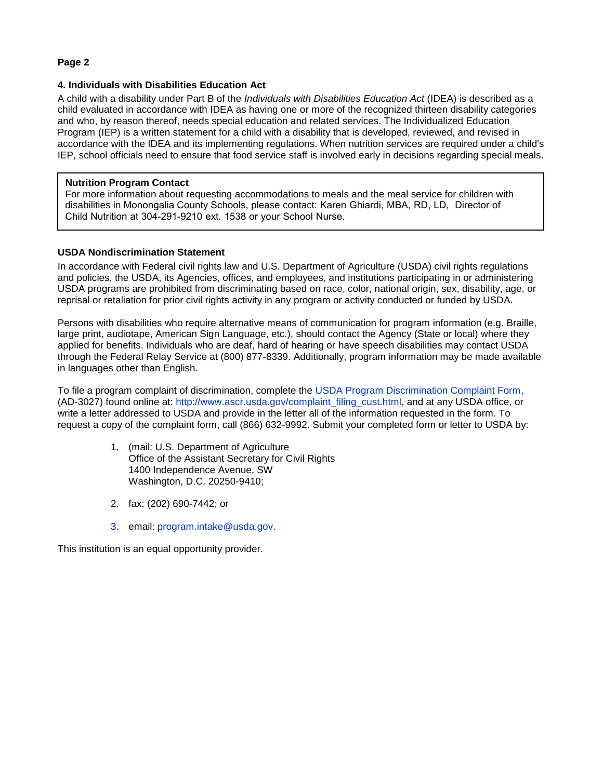#### **Page 2**

#### **4. Individuals with Disabilities Education Act**

A child with a disability under Part B of the *Individuals with Disabilities Education Act* (IDEA) is described as a child evaluated in accordance with IDEA as having one or more of the recognized thirteen disability categories and who, by reason thereof, needs special education and related services. The Individualized Education Program (IEP) is a written statement for a child with a disability that is developed, reviewed, and revised in accordance with the IDEA and its implementing regulations. When nutrition services are required under a child's IEP, school officials need to ensure that food service staff is involved early in decisions regarding special meals.

#### **Nutrition Program Contact**

For more information about requesting accommodations to meals and the meal service for children with disabilities in Monongalia County Schools, please contact: Karen Ghiardi, MBA, RD, LD, Director of Child Nutrition at 304-291-9210 ext. 1538 or your School Nurse.

#### **USDA Nondiscrimination Statement**

In accordance with Federal civil rights law and U.S. Department of Agriculture (USDA) civil rights regulations and policies, the USDA, its Agencies, offices, and employees, and institutions participating in or administering USDA programs are prohibited from discriminating based on race, color, national origin, sex, disability, age, or reprisal or retaliation for prior civil rights activity in any program or activity conducted or funded by USDA.

Persons with disabilities who require alternative means of communication for program information (e.g. Braille, large print, audiotape, American Sign Language, etc.), should contact the Agency (State or local) where they applied for benefits. Individuals who are deaf, hard of hearing or have speech disabilities may contact USDA through the Federal Relay Service at (800) 877-8339. Additionally, program information may be made available in languages other than English.

To file a program complaint of discrimination, complete the USDA Program Discrimination Complaint Form, (AD-3027) found online at: http://www.ascr.usda.gov/complaint\_filing\_cust.html, and at any USDA office, or write a letter addressed to USDA and provide in the letter all of the information requested in the form. To request a copy of the complaint form, call (866) 632-9992. Submit your completed form or letter to USDA by:

- 1. (mail: U.S. Department of Agriculture Office of the Assistant Secretary for Civil Rights 1400 Independence Avenue, SW Washington, D.C. 20250-9410;
- 2. fax: (202) 690-7442; or
- 3. email: program.intake@usda.gov.

This institution is an equal opportunity provider.